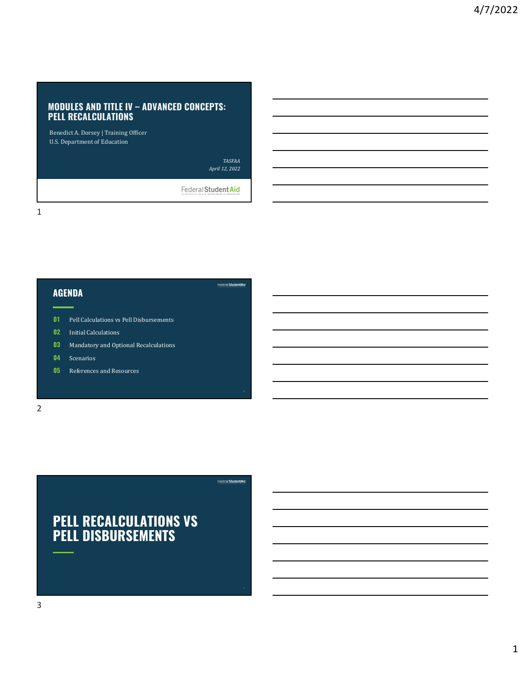# MODULES AND TITLE IV – ADVANCED CONCEPTS:<br>PELL RECALCULATIONS<br>Benedict A. Dorsey | Training Officer PELL RECALCULATIONS

Benedict A. Dorsey | Training Officer U.S. Department of Education

> TASFAA April 12, 2022

> > $2^{n}$  . The contract of the contract of the contract of the contract of the contract of the contract of the contract of the contract of the contract of the contract of the contract of the contract of the contract of the

Federal Student Aid



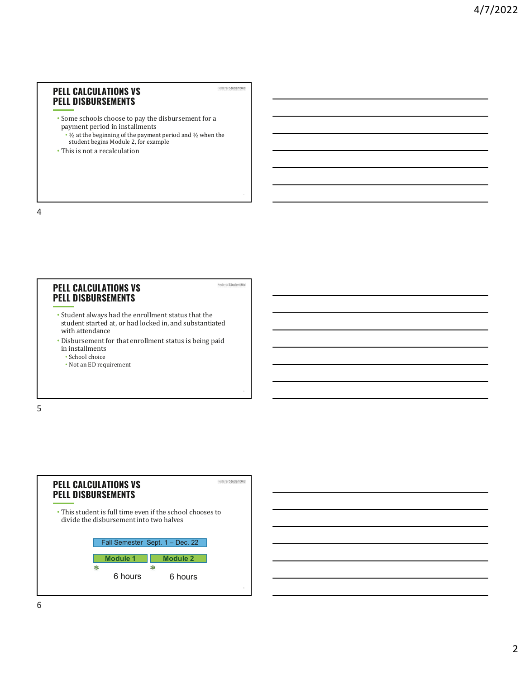### PELL CALCULATIONS VS PELL DISBURSEMENTS

- Some schools choose to pay the disbursement for a payment period in installments
- $\frac{1}{2}$  at the beginning of the payment period and  $\frac{1}{2}$  when the student begins Module 2, for example

Federal Student Aid

Federal StudentAid

4

5

• This is not a recalculation

4

### PELL CALCULATIONS VS PELL DISBURSEMENTS

- Student always had the enrollment status that the student started at, or had locked in, and substantiated with attendance
- Disbursement for that enrollment status is being paid in installments
	- School choice
	- Not an ED requirement

 $5<sub>5</sub>$ 



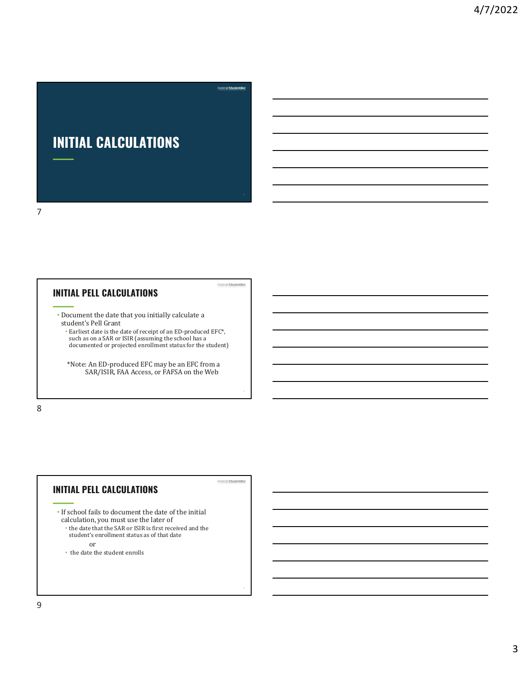# INITIAL CALCULATIONS

# INITIAL PELL CALCULATIONS

7

- Document the date that you initially calculate a student's Pell Grant
	- Earliest date is the date of receipt of an ED-produced EFC\*, such as on a SAR or ISIR (assuming the school has a documented or projected enrollment status for the student)

а постанување на селото на селото на селото на селото на селото на селото на селото на селото на селото на сел<br>Станување

Federal Student Aid

Federal Student Aid

a barat da kara kara ta 1980 a ƙasar Ingila. Yan ƙasar Ingila a ƙasar Ingila. Yan ƙasar Ingila a ƙasar Ingila.

\*Note: An ED-produced EFC may be an EFC from a SAR/ISIR, FAA Access, or FAFSA on the Web

8 and 2010 and 2010 and 2010 and 2010 and 2010 and 2010 and 2010 and 2010 and 2010 and 2010 and 2010 and 2010

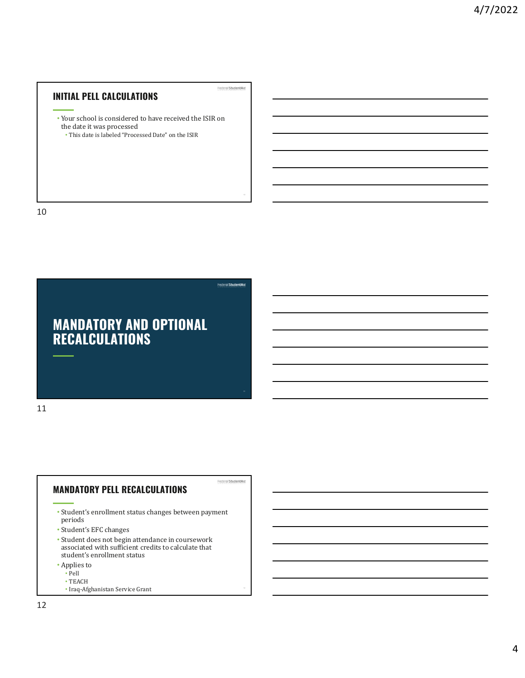# INITIAL PELL CALCULATIONS

• Your school is considered to have received the ISIR on the date it was processed

Federal Student Aid

 $10$ 

• This date is labeled "Processed Date" on the ISIR

10



### MANDATORY PELL RECALCULATIONS

- Student's enrollment status changes between payment periods
- Student's EFC changes
- Student does not begin attendance in coursework student's enrollment status
- Applies to
	- Pell<br>• TEACH
	- TEACH  **TEACH**
	- Iraq-Afghanistan Service Grant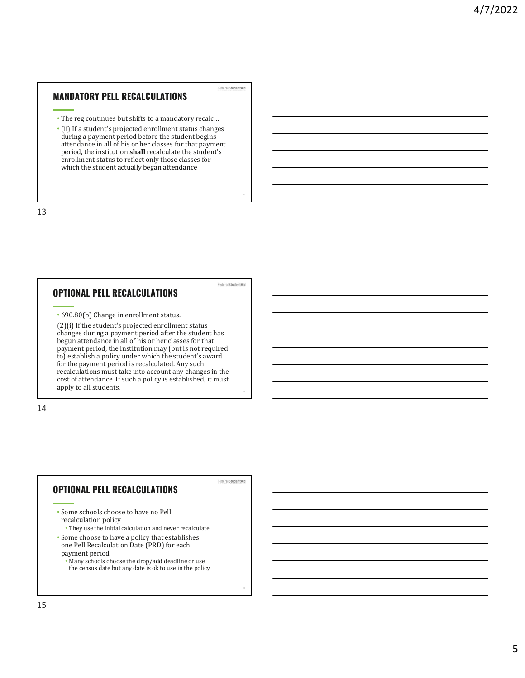## MANDATORY PELL RECALCULATIONS

• The reg continues but shifts to a mandatory recalc…

Federal StudentAid

FederalStudentAid

FederalStudentAid

• (ii) If a student's projected enrollment status changes during a payment period before the student begins attendance in all of his or her classes for that payment period, the institution shall recalculate the student's enrollment status to reflect only those classes for which the student actually began attendance

13

15<sub>15</sub>

13

## OPTIONAL PELL RECALCULATIONS

• 690.80(b) Change in enrollment status.

(2)(i) If the student's projected enrollment status changes during a payment period after the student has begun attendance in all of his or her classes for that payment period, the institution may (but is not required to) establish a policy under which the student's award for the payment period is recalculated. Any such recalculations must take into account any changes in the cost of attendance. If such a policy is established, it must apply to all students.

14

# OPTIONAL PELL RECALCULATIONS

- Some schools choose to have no Pell recalculation policy
	- They use the initial calculation and never recalculate
- Some choose to have a policy that establishes one Pell Recalculation Date (PRD) for each payment period
	- Many schools choose the drop/add deadline or use the census date but any date is ok to use in the policy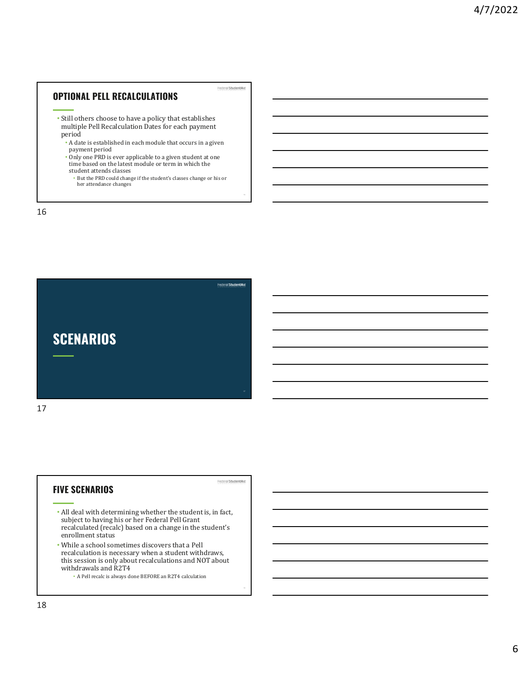# OPTIONAL PELL RECALCULATIONS • Still others choose to have a policy that establishes multiple Pell Recalculation Dates for each payment period • A date is established in each module that occurs in a given **• But the PRD could change if the student of the student of the student of the PRI Recalculation Dates for each payment date is established in each module that occurs in a given and payment period is or his ore proplicabl**

- payment period • Only one PRD is ever applicable to a given student at one time based on the latest module or term in which the
- student attends classes  $\bullet$  But the PRD could change if the student's classes change or his or her attendance changes

16



# FIVE SCENARIOS

FederalStudentAid

 $16$ 

- All deal with determining whether the student is, in fact, subject to having his or her Federal Pell Grant recalculated (recalc) based on a change in the student's enrollment status
- While a school sometimes discovers that a Pell recalculation is necessary when a student withdraws, this session is only about recalculations and NOT about withdrawals and R2T4
	- A Pell recalc is always done BEFORE an R2T4 calculation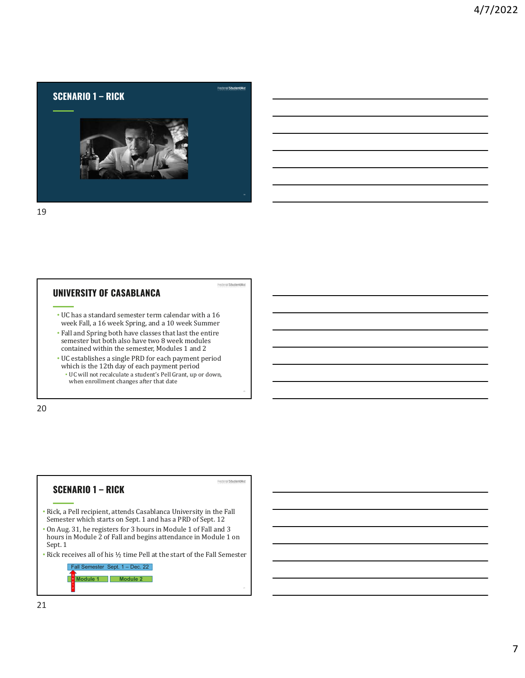

# UNIVERSITY OF CASABLANCA

• UC has a standard semester term calendar with a 16 week Fall, a 16 week Spring, and a 10 week Summer

FederalStudentAid

- Fall and Spring both have classes that last the entire semester but both also have two 8 week modules contained within the semester, Modules 1 and 2
- UC establishes a single PRD for each payment period which is the 12th day of each payment period
	- UC will not recalculate a student's Pell Grant, up or down, when enrollment changes after that date

20

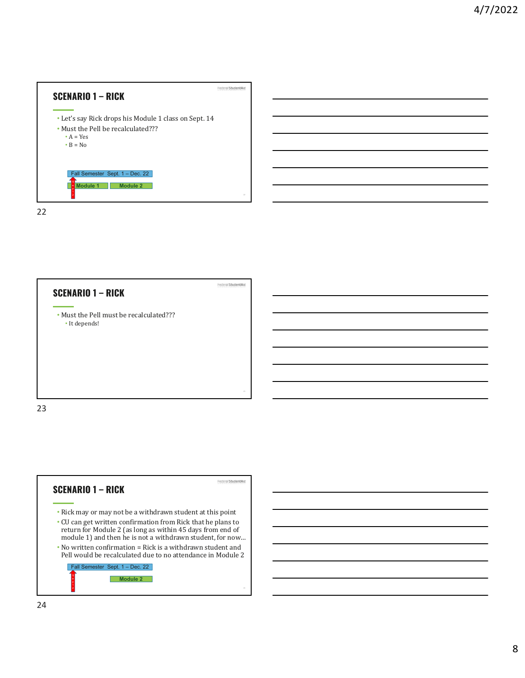



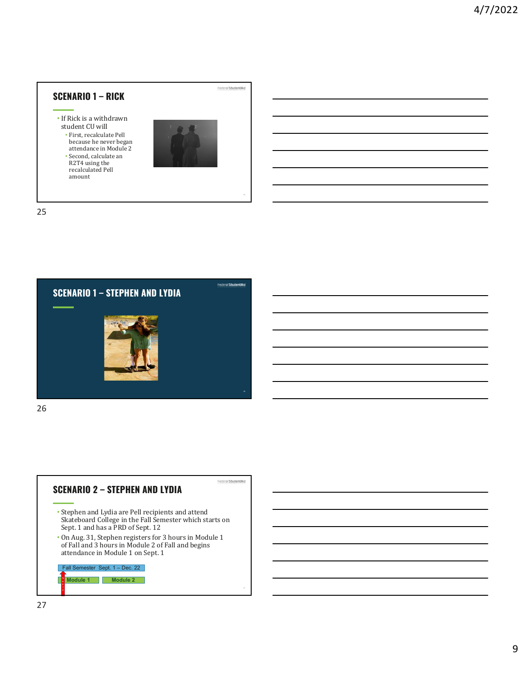



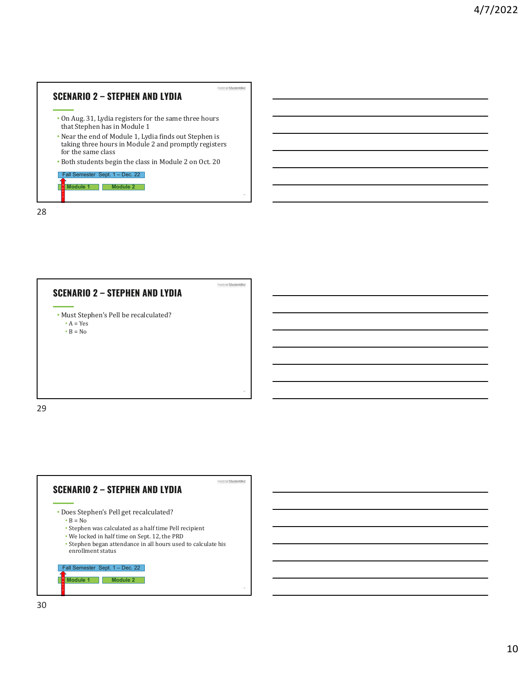



 $\bullet$  A = Yes •  $B = No$ 

29

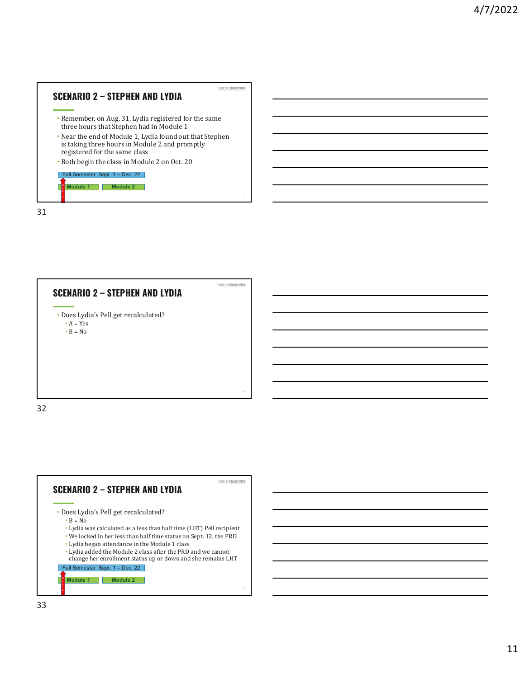



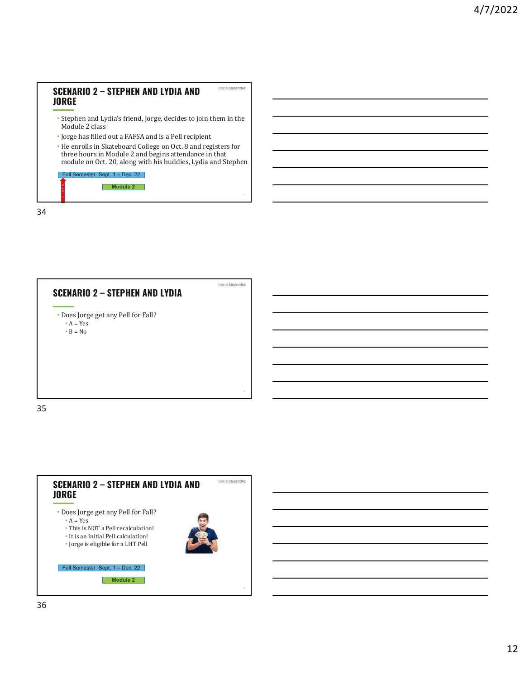# SCENARIO 2 – STEPHEN AND LYDIA AND JORGE

- Stephen and Lydia's friend, Jorge, decides to join them in the Module 2 class
- Jorge has filled out a FAFSA and is a Pell recipient

1. In the contract of the contract of the contract of the contract of the contract of the contract of the contract of the contract of the contract of the contract of the contract of the contract of the contract of the cont  $2<sub>1</sub>$ 

• He enrolls in Skateboard College on Oct. 8 and registers for three hours in Module 2 and begins attendance in that module on Oct. 20, along with his buddies, Lydia and Stephen **ENARIO 2 – STEPHEN AND LYDIA AND<br>
SEEP<br>
SEEP<br>
SEEP<br>
SEEP ARE AND SEPTER AND LYDIA AND<br>
SEEP ARE AND SEPTER AND AND SERVE AND AND SERVE AND THE SERVER AND THE SERVER AND THE PRODUCE 2 and PERSA and SEP ARE AND SEPTER FOR** 

| Fall Semester Sept. 1 – Dec. 22 |
|---------------------------------|
| Module <sub>2</sub>             |
|                                 |



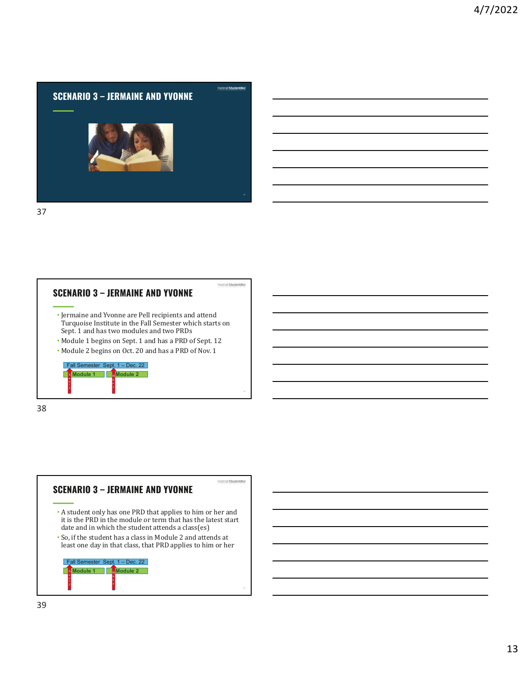



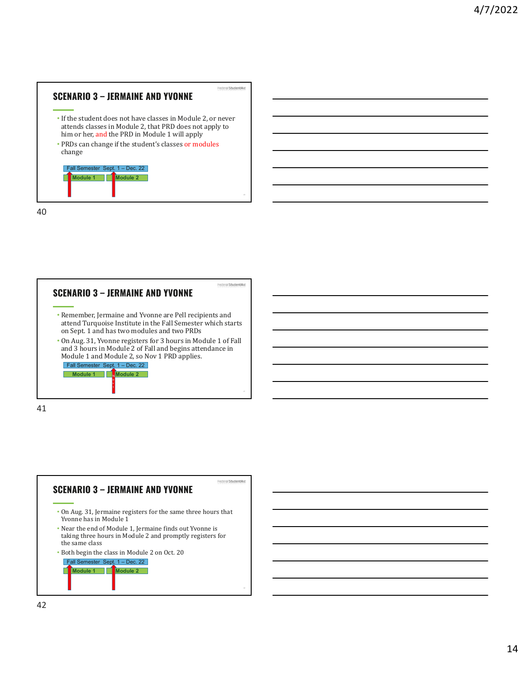# $\begin{array}{c|c}\n \textbf{SCENARIO 3 - JERMAINE AND YVONNE}\n \hline\n \end{array}$   $\begin{array}{c}\n \text{Fedron/Studentaled}\n \end{array}\n \begin{array}{c}\n \text{Fedron/Studentaled}\n \end{array}\n \begin{array}{c}\n \text{Fedron/Studentaled}\n \end{array}$ attends classes in Module 2, that PRD does not apply to him or her, and the PRD in Module 1 will apply • PRDs can change if the student's classes or modules change **NARIO 3 – JERMAINE AND YVONNE**<br>
The student does not have classes in Module 2, or never<br>
tends classes in Module 2, that PRD does not apply to<br>
m or her, and the PRD in Module 1 will apply<br>
NDS can change if the student's

| Fall Semester Sept. 1 - Dec. 22 |  |  |
|---------------------------------|--|--|
|                                 |  |  |
|                                 |  |  |
|                                 |  |  |

40



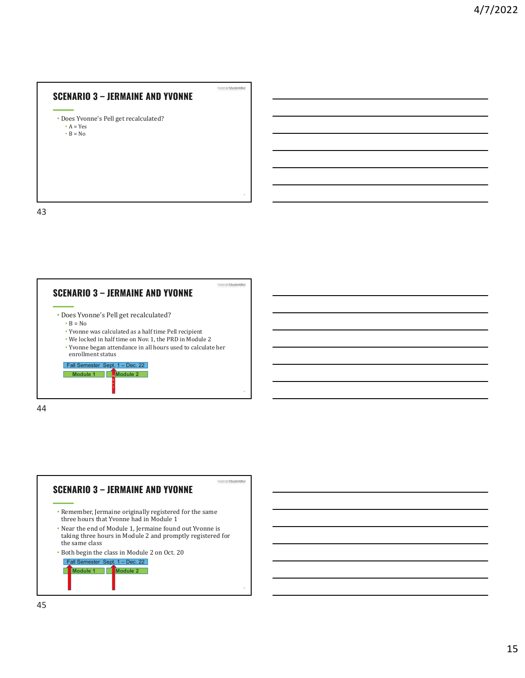# SCENARIO 3 – JERMAINE AND YVONNE<br>• Does Yvonne's Pell get recalculated?

•  $A = Yes$  $\cdot$  B = No

43



43

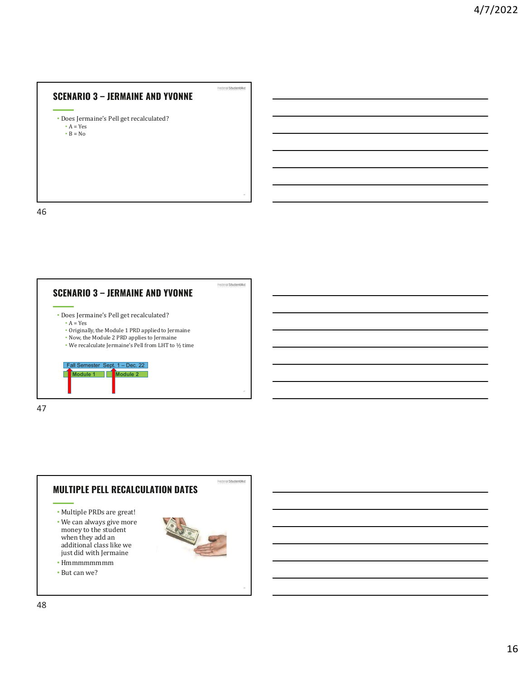# SCENARIO 3 – JERMAINE AND YVONNE<br>• Does Jermaine's Pell get recalculated?

•  $A = Yes$  $\cdot$  B = No

46



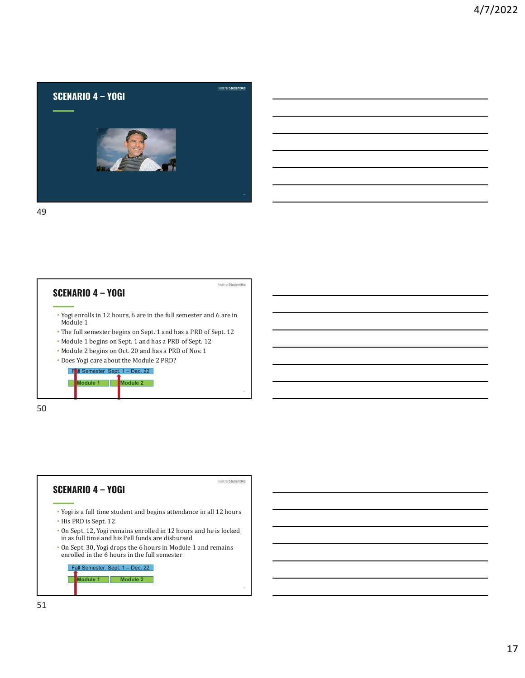



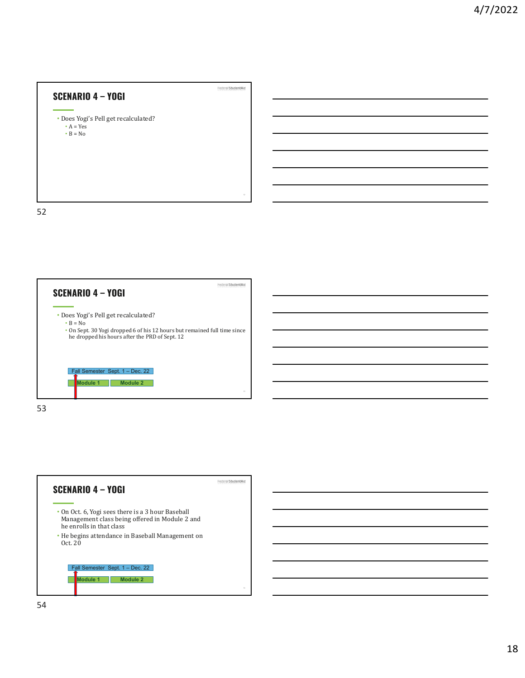SCENARIO 4 – YOGI  $\frac{1}{2}$ <br>
• Does Yogi's Pell get recalculated?<br>
•  $\frac{1}{2}$ •  $A = Yes$ •  $B = No$ 

52



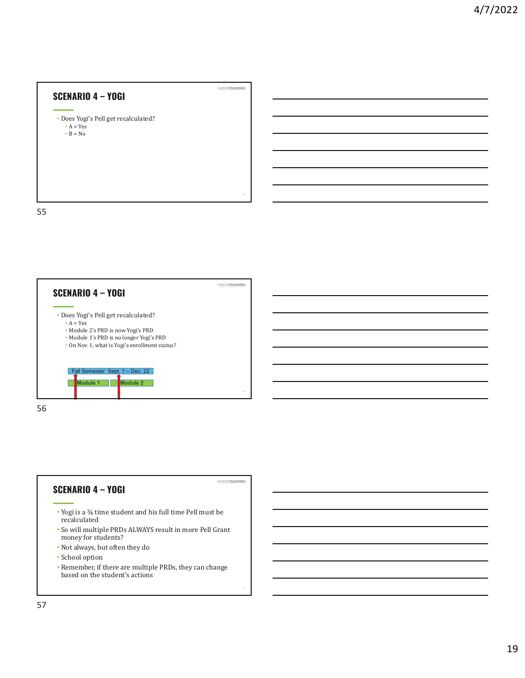SCENARIO 4 – YOGI  $\frac{1}{2}$ <br>
• Does Yogi's Pell get recalculated?<br>
•  $\frac{1}{2}$ •  $A = Yes$  $\cdot$  B = No

55



55

57

# recalculated • So will multiple PRDs ALWAYS result in more Pell Grant money for students? • Not always, but often they do

- School option
- Remember, if there are multiple PRDs, they can change based on the student's actions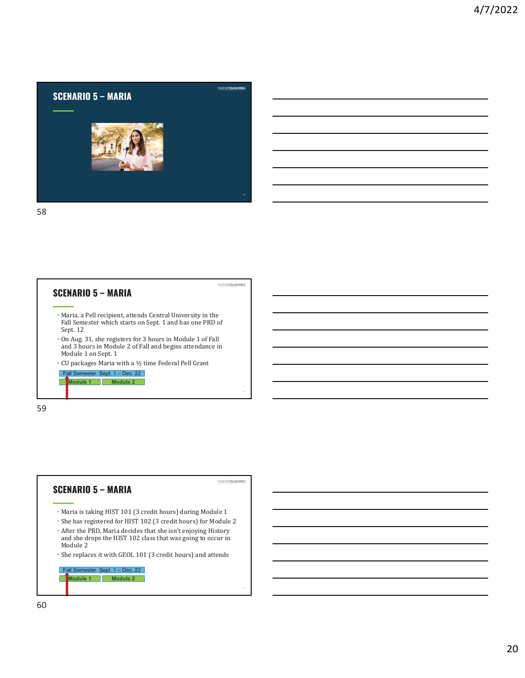



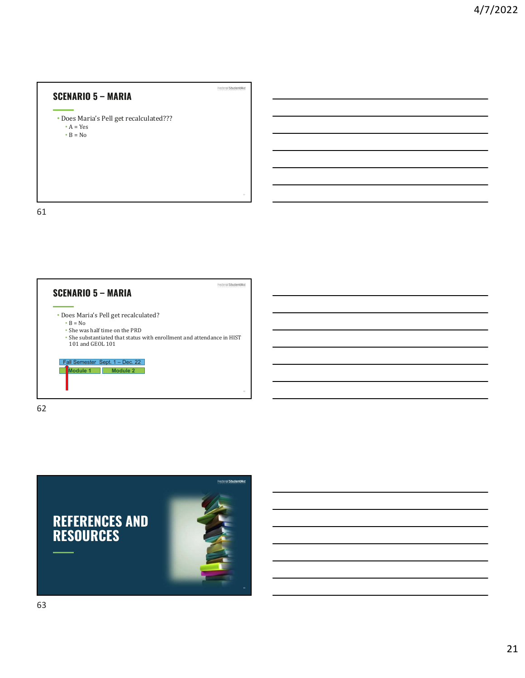SCENARIO 5 – MARIA<br>• Does Maria's Pell get recalculated??? •  $A = Yes$ <br> •  $\mathrm{B}=\mathrm{No}$ 

61



61<br>61

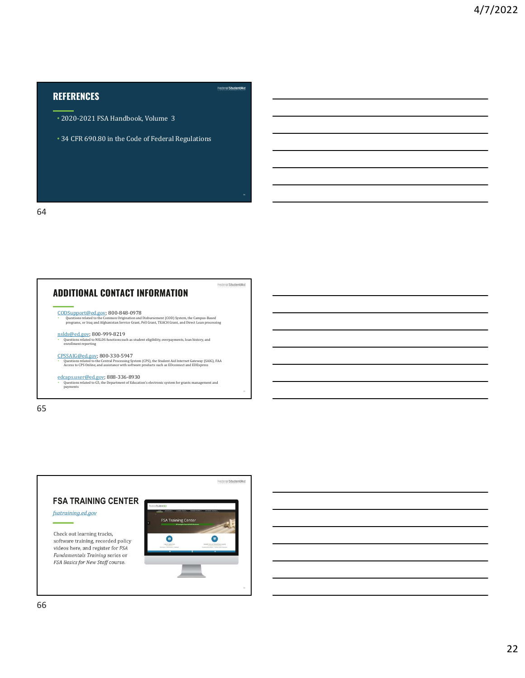# **REFERENCES**

- 2020-2021 FSA Handbook, Volume 3
- 34 CFR 690.80 in the Code of Federal Regulations

64



65



### Federal StudentAid

Federal Student Aid

 $\mathbf{64}$ 

 $\overline{66}$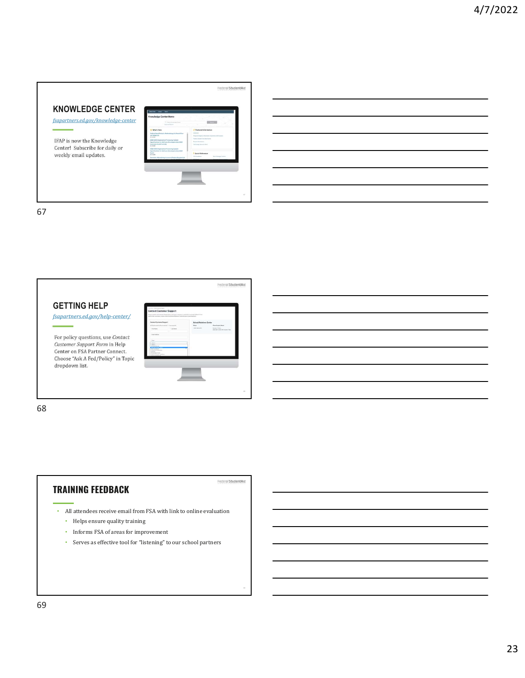# Federal Student Aid KNOWLEDGE CENTER fsapartners.ed.gov/knowledge-center IFAP is now the Knowledge Center! Subscribe for daily or weekly email updates. 67 and *67* and *67* and *67* and *67* and *67* and *67* and *67* and *67* and *67* and *67* and *67* and *67* and *67* and *67* and *67* and *67* and *67* and *67* and *67* and *67* and *67* and *67* and *67* and *67* and

67



# TRAINING FEEDBACK

FederalStudentAid

- All attendees receive email from FSA with link to online evaluation • Helps ensure quality training
	- $\bullet$   $\;$  Informs FSA of areas for improvement
	- Serves as effective tool for "listening" to our school partners